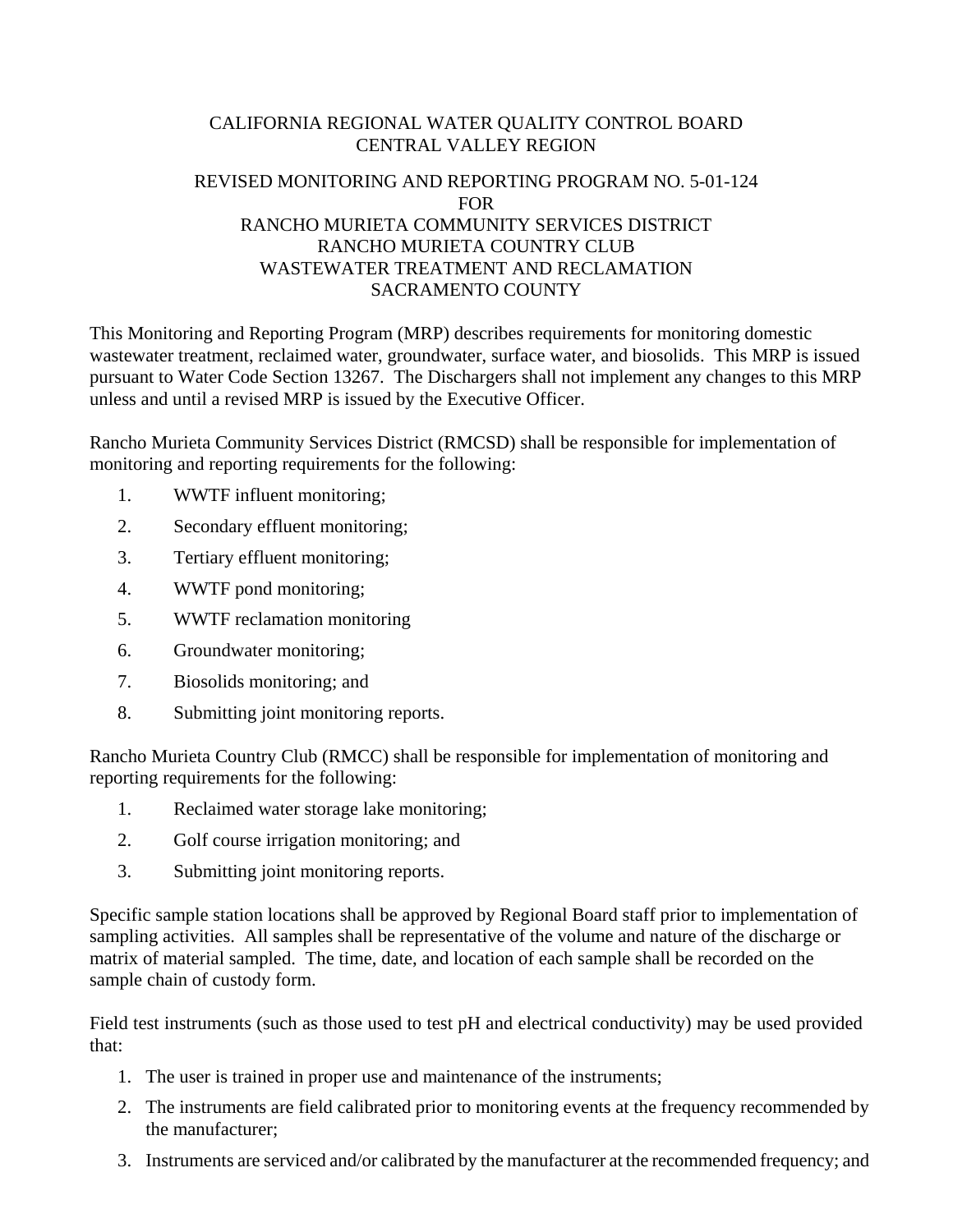# CALIFORNIA REGIONAL WATER QUALITY CONTROL BOARD CENTRAL VALLEY REGION

## REVISED MONITORING AND REPORTING PROGRAM NO. 5-01-124 FOR RANCHO MURIETA COMMUNITY SERVICES DISTRICT RANCHO MURIETA COUNTRY CLUB WASTEWATER TREATMENT AND RECLAMATION SACRAMENTO COUNTY

This Monitoring and Reporting Program (MRP) describes requirements for monitoring domestic wastewater treatment, reclaimed water, groundwater, surface water, and biosolids. This MRP is issued pursuant to Water Code Section 13267. The Dischargers shall not implement any changes to this MRP unless and until a revised MRP is issued by the Executive Officer.

Rancho Murieta Community Services District (RMCSD) shall be responsible for implementation of monitoring and reporting requirements for the following:

- 1. WWTF influent monitoring;
- 2. Secondary effluent monitoring;
- 3. Tertiary effluent monitoring;
- 4. WWTF pond monitoring;
- 5. WWTF reclamation monitoring
- 6. Groundwater monitoring;
- 7. Biosolids monitoring; and
- 8. Submitting joint monitoring reports.

Rancho Murieta Country Club (RMCC) shall be responsible for implementation of monitoring and reporting requirements for the following:

- 1. Reclaimed water storage lake monitoring;
- 2. Golf course irrigation monitoring; and
- 3. Submitting joint monitoring reports.

Specific sample station locations shall be approved by Regional Board staff prior to implementation of sampling activities. All samples shall be representative of the volume and nature of the discharge or matrix of material sampled. The time, date, and location of each sample shall be recorded on the sample chain of custody form.

Field test instruments (such as those used to test pH and electrical conductivity) may be used provided that:

- 1. The user is trained in proper use and maintenance of the instruments;
- 2. The instruments are field calibrated prior to monitoring events at the frequency recommended by the manufacturer;
- 3. Instruments are serviced and/or calibrated by the manufacturer at the recommended frequency; and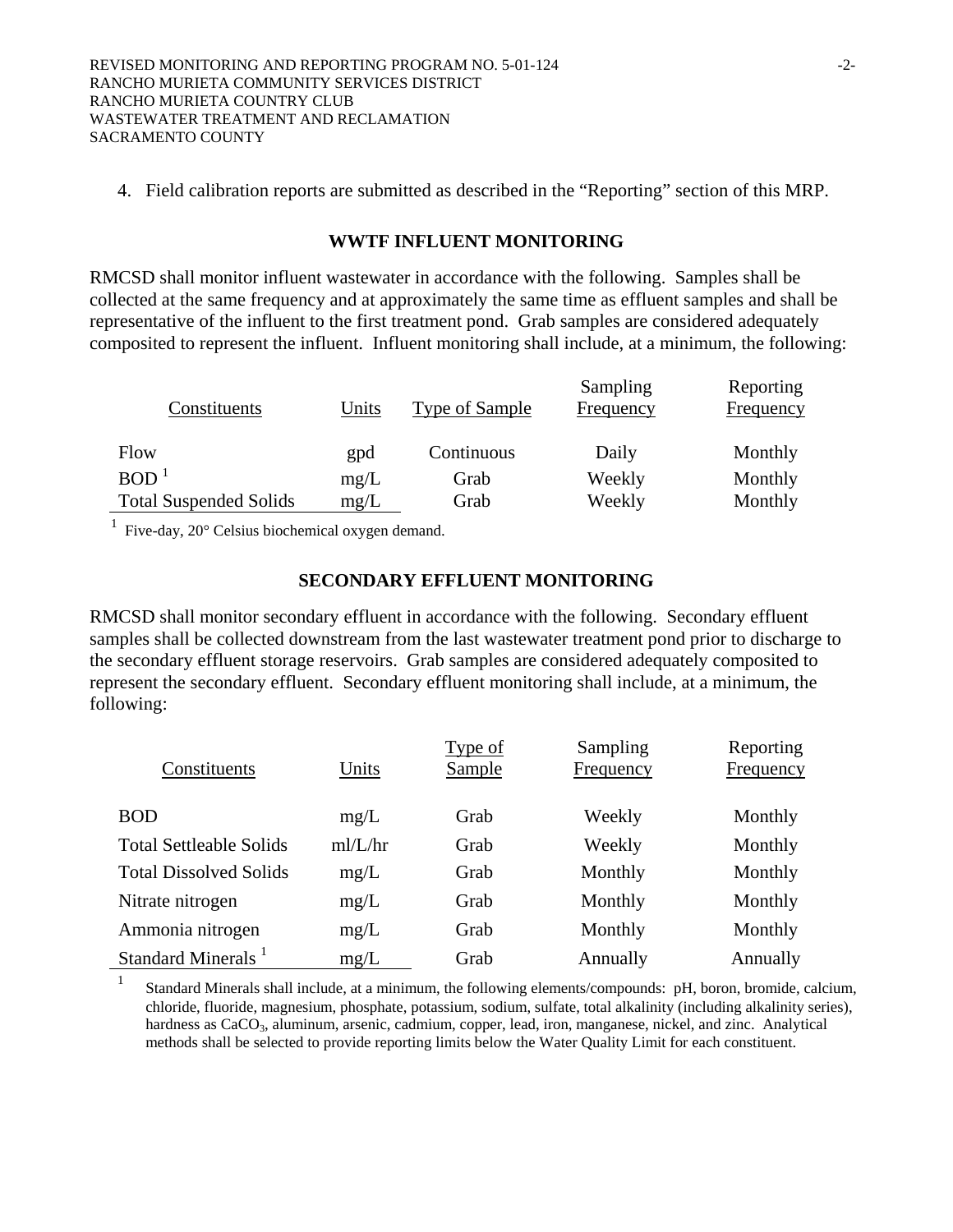4. Field calibration reports are submitted as described in the "Reporting" section of this MRP.

### **WWTF INFLUENT MONITORING**

RMCSD shall monitor influent wastewater in accordance with the following. Samples shall be collected at the same frequency and at approximately the same time as effluent samples and shall be representative of the influent to the first treatment pond. Grab samples are considered adequately composited to represent the influent. Influent monitoring shall include, at a minimum, the following:

| Constituents                  | Units | Type of Sample | Sampling<br>Frequency | Reporting<br>Frequency |
|-------------------------------|-------|----------------|-----------------------|------------------------|
| Flow                          | gpd   | Continuous     | Daily                 | Monthly                |
| BOD <sup>1</sup>              | mg/L  | Grab           | Weekly                | Monthly                |
| <b>Total Suspended Solids</b> | mg/L  | Grab           | Weekly                | Monthly                |

 $1$  Five-day, 20 $^{\circ}$  Celsius biochemical oxygen demand.

### **SECONDARY EFFLUENT MONITORING**

RMCSD shall monitor secondary effluent in accordance with the following. Secondary effluent samples shall be collected downstream from the last wastewater treatment pond prior to discharge to the secondary effluent storage reservoirs. Grab samples are considered adequately composited to represent the secondary effluent. Secondary effluent monitoring shall include, at a minimum, the following:

| Constituents                   | Units   | Type of<br><b>Sample</b> | Sampling<br>Frequency | Reporting<br>Frequency |
|--------------------------------|---------|--------------------------|-----------------------|------------------------|
| <b>BOD</b>                     | mg/L    | Grab                     | Weekly                | Monthly                |
| <b>Total Settleable Solids</b> | mI/L/hr | Grab                     | Weekly                | Monthly                |
| <b>Total Dissolved Solids</b>  | mg/L    | Grab                     | Monthly               | Monthly                |
| Nitrate nitrogen               | mg/L    | Grab                     | Monthly               | Monthly                |
| Ammonia nitrogen               | mg/L    | Grab                     | Monthly               | Monthly                |
| Standard Minerals <sup>1</sup> | mg/L    | Grab                     | Annually              | Annually               |

1 Standard Minerals shall include, at a minimum, the following elements/compounds: pH, boron, bromide, calcium, chloride, fluoride, magnesium, phosphate, potassium, sodium, sulfate, total alkalinity (including alkalinity series), hardness as CaCO<sub>3</sub>, aluminum, arsenic, cadmium, copper, lead, iron, manganese, nickel, and zinc. Analytical methods shall be selected to provide reporting limits below the Water Quality Limit for each constituent.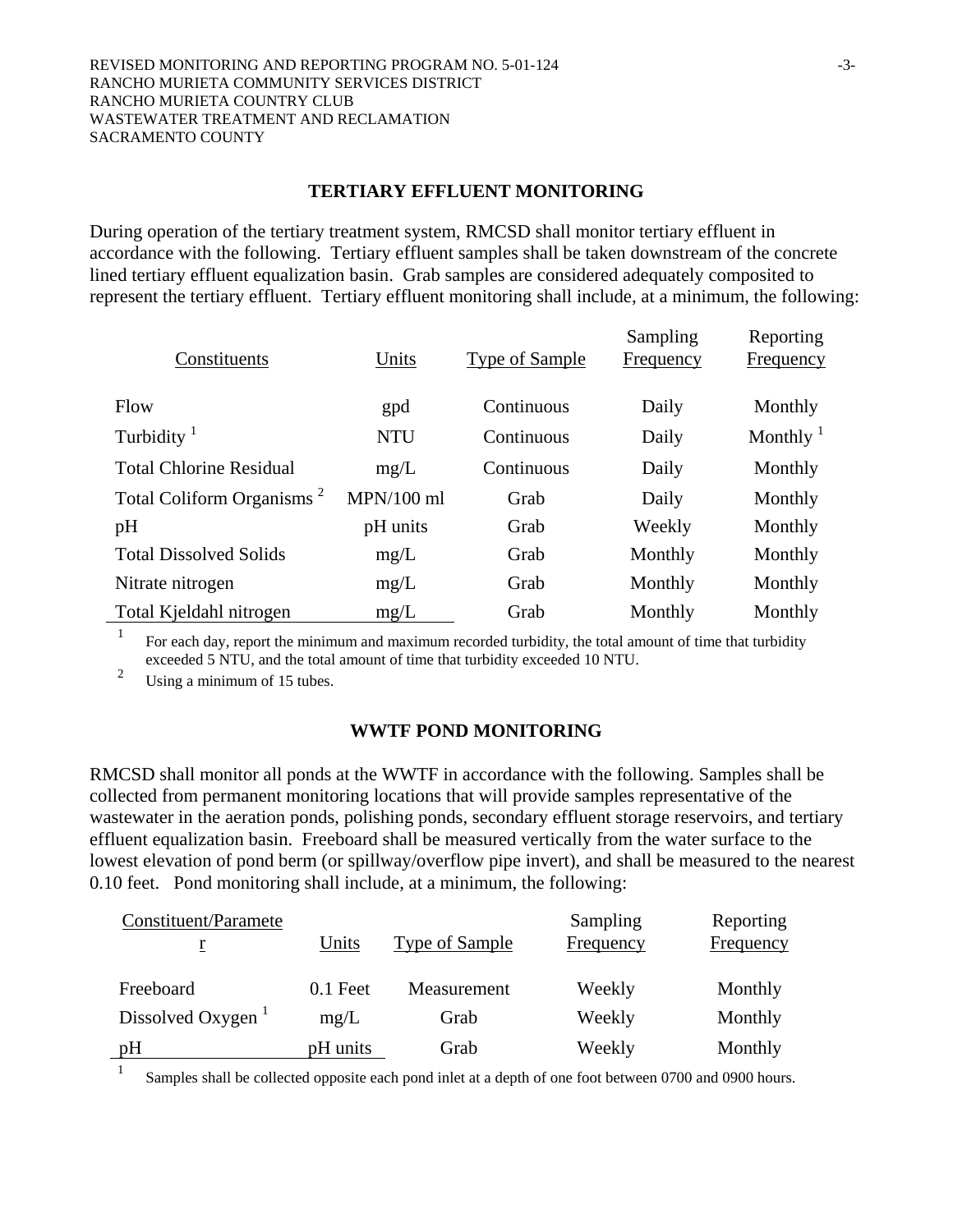### **TERTIARY EFFLUENT MONITORING**

During operation of the tertiary treatment system, RMCSD shall monitor tertiary effluent in accordance with the following. Tertiary effluent samples shall be taken downstream of the concrete lined tertiary effluent equalization basin. Grab samples are considered adequately composited to represent the tertiary effluent. Tertiary effluent monitoring shall include, at a minimum, the following:

| Constituents                          | Units        | <b>Type of Sample</b> | Sampling<br>Frequency | Reporting<br><b>Frequency</b> |
|---------------------------------------|--------------|-----------------------|-----------------------|-------------------------------|
| Flow                                  | gpd          | Continuous            | Daily                 | Monthly                       |
| Turbidity <sup>1</sup>                | <b>NTU</b>   | Continuous            | Daily                 | Monthly $\frac{1}{1}$         |
| <b>Total Chlorine Residual</b>        | mg/L         | Continuous            | Daily                 | Monthly                       |
| Total Coliform Organisms <sup>2</sup> | $MPN/100$ ml | Grab                  | Daily                 | Monthly                       |
| pH                                    | pH units     | Grab                  | Weekly                | Monthly                       |
| <b>Total Dissolved Solids</b>         | mg/L         | Grab                  | Monthly               | Monthly                       |
| Nitrate nitrogen                      | mg/L         | Grab                  | Monthly               | Monthly                       |
| Total Kjeldahl nitrogen               | mg/L         | Grab                  | Monthly               | Monthly                       |

1 For each day, report the minimum and maximum recorded turbidity, the total amount of time that turbidity exceeded 5 NTU, and the total amount of time that turbidity exceeded 10 NTU.

<sup>2</sup> Using a minimum of 15 tubes.

## **WWTF POND MONITORING**

RMCSD shall monitor all ponds at the WWTF in accordance with the following. Samples shall be collected from permanent monitoring locations that will provide samples representative of the wastewater in the aeration ponds, polishing ponds, secondary effluent storage reservoirs, and tertiary effluent equalization basin. Freeboard shall be measured vertically from the water surface to the lowest elevation of pond berm (or spillway/overflow pipe invert), and shall be measured to the nearest 0.10 feet. Pond monitoring shall include, at a minimum, the following:

| Constituent/Paramete          |            |                | Sampling  | Reporting |
|-------------------------------|------------|----------------|-----------|-----------|
|                               | Units      | Type of Sample | Frequency | Frequency |
|                               |            |                |           |           |
| Freeboard                     | $0.1$ Feet | Measurement    | Weekly    | Monthly   |
| Dissolved Oxygen <sup>1</sup> | mg/L       | Grab           | Weekly    | Monthly   |
| pH                            | pH units   | Grab           | Weekly    | Monthly   |

<sup>1</sup> Samples shall be collected opposite each pond inlet at a depth of one foot between 0700 and 0900 hours.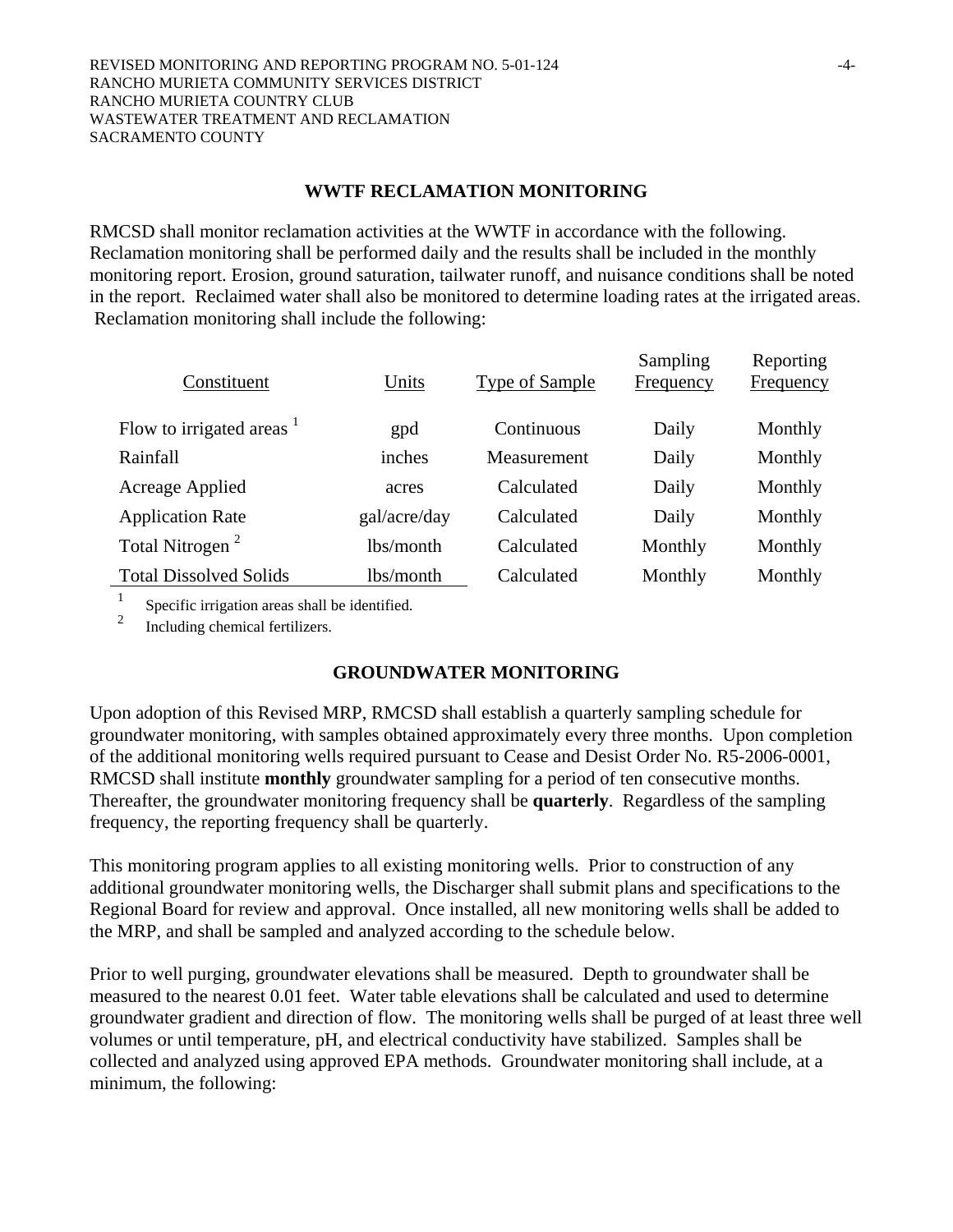## **WWTF RECLAMATION MONITORING**

RMCSD shall monitor reclamation activities at the WWTF in accordance with the following. Reclamation monitoring shall be performed daily and the results shall be included in the monthly monitoring report. Erosion, ground saturation, tailwater runoff, and nuisance conditions shall be noted in the report. Reclaimed water shall also be monitored to determine loading rates at the irrigated areas. Reclamation monitoring shall include the following:

| Constituent                   | Units        | <b>Type of Sample</b> | Sampling<br><b>Frequency</b> | Reporting<br><b>Frequency</b> |
|-------------------------------|--------------|-----------------------|------------------------------|-------------------------------|
| Flow to irrigated areas $1$   | gpd          | Continuous            | Daily                        | Monthly                       |
| Rainfall                      | inches       | Measurement           | Daily                        | Monthly                       |
| Acreage Applied               | acres        | Calculated            | Daily                        | Monthly                       |
| <b>Application Rate</b>       | gal/acre/day | Calculated            | Daily                        | Monthly                       |
| Total Nitrogen <sup>2</sup>   | lbs/month    | Calculated            | Monthly                      | Monthly                       |
| <b>Total Dissolved Solids</b> | lbs/month    | Calculated            | Monthly                      | Monthly                       |

<sup>1</sup> Specific irrigation areas shall be identified.

2 Including chemical fertilizers.

## **GROUNDWATER MONITORING**

Upon adoption of this Revised MRP, RMCSD shall establish a quarterly sampling schedule for groundwater monitoring, with samples obtained approximately every three months. Upon completion of the additional monitoring wells required pursuant to Cease and Desist Order No. R5-2006-0001, RMCSD shall institute **monthly** groundwater sampling for a period of ten consecutive months. Thereafter, the groundwater monitoring frequency shall be **quarterly**. Regardless of the sampling frequency, the reporting frequency shall be quarterly.

This monitoring program applies to all existing monitoring wells. Prior to construction of any additional groundwater monitoring wells, the Discharger shall submit plans and specifications to the Regional Board for review and approval. Once installed, all new monitoring wells shall be added to the MRP, and shall be sampled and analyzed according to the schedule below.

Prior to well purging, groundwater elevations shall be measured. Depth to groundwater shall be measured to the nearest 0.01 feet. Water table elevations shall be calculated and used to determine groundwater gradient and direction of flow. The monitoring wells shall be purged of at least three well volumes or until temperature, pH, and electrical conductivity have stabilized. Samples shall be collected and analyzed using approved EPA methods. Groundwater monitoring shall include, at a minimum, the following: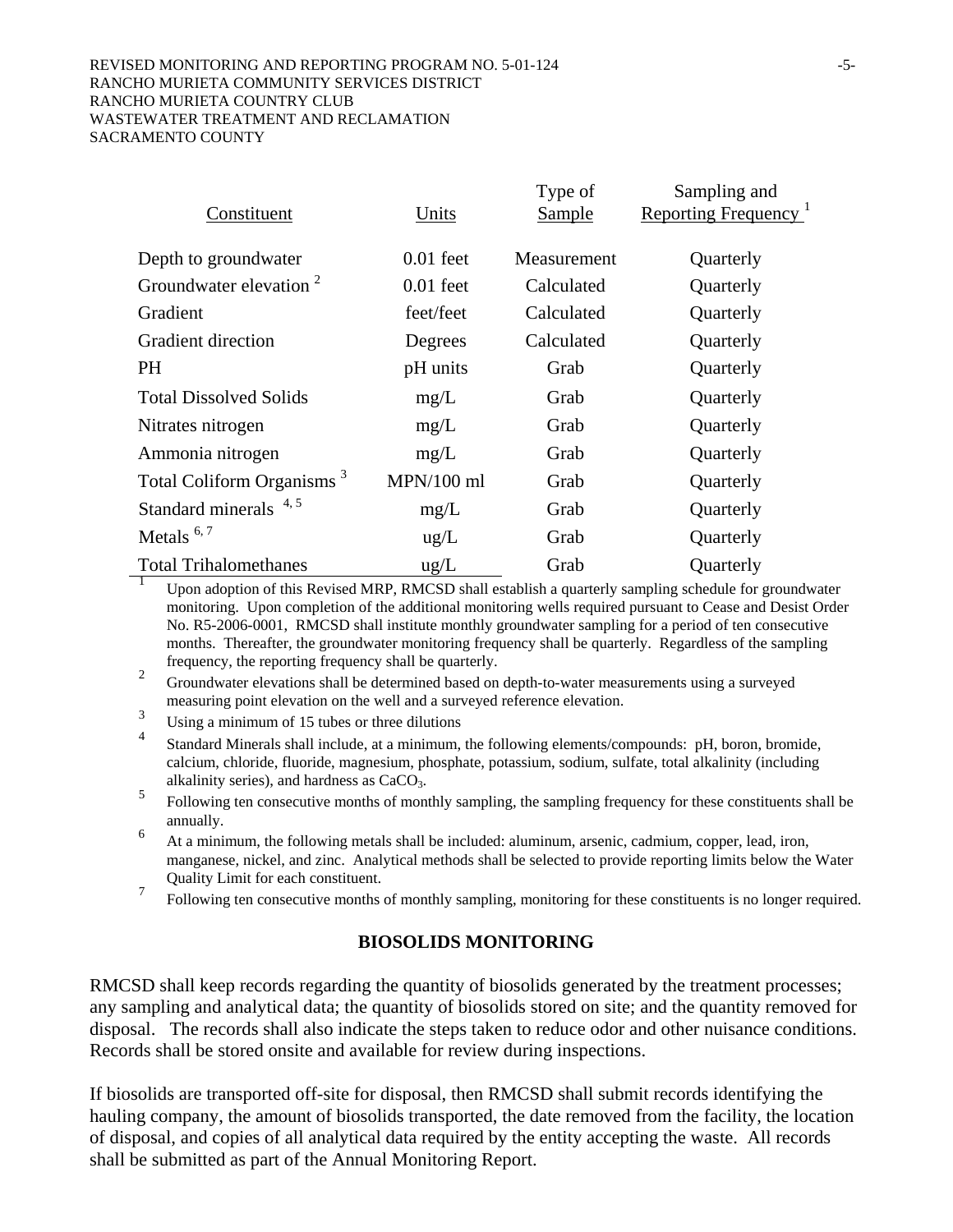#### REVISED MONITORING AND REPORTING PROGRAM NO. 5-01-124  $-5$ -RANCHO MURIETA COMMUNITY SERVICES DISTRICT RANCHO MURIETA COUNTRY CLUB WASTEWATER TREATMENT AND RECLAMATION SACRAMENTO COUNTY

| Constituent                           | Units         | Type of<br>Sample | Sampling and<br>Reporting Frequency <sup>1</sup> |
|---------------------------------------|---------------|-------------------|--------------------------------------------------|
|                                       |               |                   |                                                  |
| Depth to groundwater                  | $0.01$ feet   | Measurement       | Quarterly                                        |
| Groundwater elevation <sup>2</sup>    | $0.01$ feet   | Calculated        | Quarterly                                        |
| Gradient                              | feet/feet     | Calculated        | Quarterly                                        |
| <b>Gradient direction</b>             | Degrees       | Calculated        | Quarterly                                        |
| PH.                                   | pH units      | Grab              | Quarterly                                        |
| <b>Total Dissolved Solids</b>         | mg/L          | Grab              | Quarterly                                        |
| Nitrates nitrogen                     | mg/L          | Grab              | Quarterly                                        |
| Ammonia nitrogen                      | mg/L          | Grab              | Quarterly                                        |
| Total Coliform Organisms <sup>3</sup> | $MPN/100$ ml  | Grab              | Quarterly                                        |
| Standard minerals 4,5                 | mg/L          | Grab              | Quarterly                                        |
| Metals $6,7$                          | ug/L          | Grab              | Quarterly                                        |
| <b>Total Trihalomethanes</b>          | $\text{ug/L}$ | Grab              | Quarterly                                        |

<sup>1</sup> Upon adoption of this Revised MRP, RMCSD shall establish a quarterly sampling schedule for groundwater monitoring. Upon completion of the additional monitoring wells required pursuant to Cease and Desist Order No. R5-2006-0001, RMCSD shall institute monthly groundwater sampling for a period of ten consecutive months. Thereafter, the groundwater monitoring frequency shall be quarterly. Regardless of the sampling frequency, the reporting frequency shall be quarterly.

- 2 Groundwater elevations shall be determined based on depth-to-water measurements using a surveyed measuring point elevation on the well and a surveyed reference elevation.
- 3 Using a minimum of 15 tubes or three dilutions
- 4 Standard Minerals shall include, at a minimum, the following elements/compounds: pH, boron, bromide, calcium, chloride, fluoride, magnesium, phosphate, potassium, sodium, sulfate, total alkalinity (including
- alkalinity series), and hardness as CaCO<sub>3</sub>.<br>
Following ten consecutive months of monthly sampling, the sampling frequency for these constituents shall be annually.
- 6 At a minimum, the following metals shall be included: aluminum, arsenic, cadmium, copper, lead, iron, manganese, nickel, and zinc. Analytical methods shall be selected to provide reporting limits below the Water Quality Limit for each constituent.
- <sup>7</sup> Following ten consecutive months of monthly sampling, monitoring for these constituents is no longer required.

## **BIOSOLIDS MONITORING**

RMCSD shall keep records regarding the quantity of biosolids generated by the treatment processes; any sampling and analytical data; the quantity of biosolids stored on site; and the quantity removed for disposal. The records shall also indicate the steps taken to reduce odor and other nuisance conditions. Records shall be stored onsite and available for review during inspections.

If biosolids are transported off-site for disposal, then RMCSD shall submit records identifying the hauling company, the amount of biosolids transported, the date removed from the facility, the location of disposal, and copies of all analytical data required by the entity accepting the waste. All records shall be submitted as part of the Annual Monitoring Report.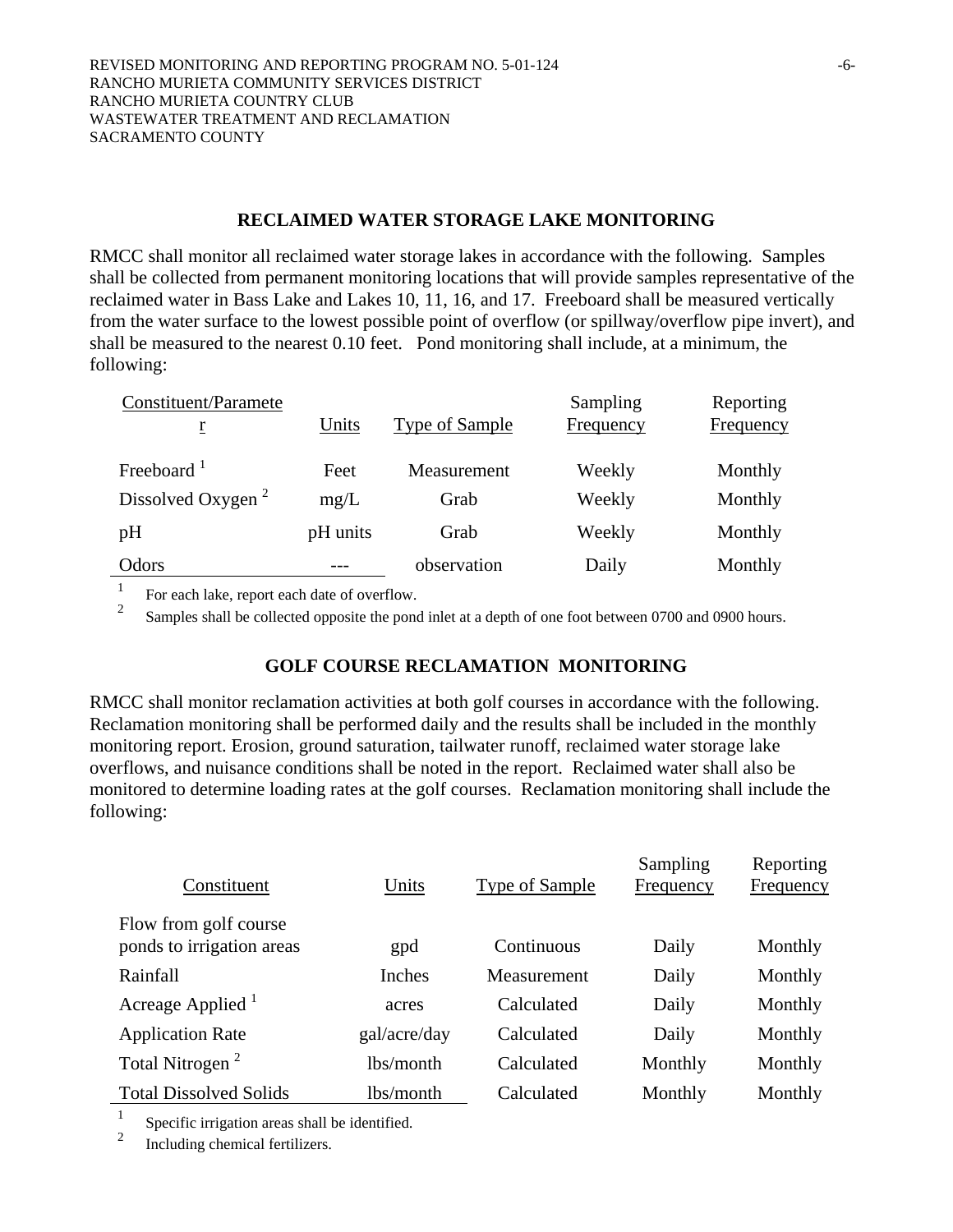### **RECLAIMED WATER STORAGE LAKE MONITORING**

RMCC shall monitor all reclaimed water storage lakes in accordance with the following. Samples shall be collected from permanent monitoring locations that will provide samples representative of the reclaimed water in Bass Lake and Lakes 10, 11, 16, and 17. Freeboard shall be measured vertically from the water surface to the lowest possible point of overflow (or spillway/overflow pipe invert), and shall be measured to the nearest 0.10 feet. Pond monitoring shall include, at a minimum, the following:

| Constituent/Paramete<br>r     | Units    | Type of Sample | Sampling<br>Frequency | Reporting<br>Frequency |
|-------------------------------|----------|----------------|-----------------------|------------------------|
| Freeboard <sup>1</sup>        | Feet     | Measurement    | Weekly                | Monthly                |
| Dissolved Oxygen <sup>2</sup> | mg/L     | Grab           | Weekly                | Monthly                |
| pH                            | pH units | Grab           | Weekly                | Monthly                |
| Odors                         |          | observation    | Daily                 | Monthly                |

<sup>1</sup> For each lake, report each date of overflow.

Samples shall be collected opposite the pond inlet at a depth of one foot between 0700 and 0900 hours.

## **GOLF COURSE RECLAMATION MONITORING**

RMCC shall monitor reclamation activities at both golf courses in accordance with the following. Reclamation monitoring shall be performed daily and the results shall be included in the monthly monitoring report. Erosion, ground saturation, tailwater runoff, reclaimed water storage lake overflows, and nuisance conditions shall be noted in the report. Reclaimed water shall also be monitored to determine loading rates at the golf courses. Reclamation monitoring shall include the following:

| Constituent                                        | Units        | <b>Type of Sample</b> | Sampling<br><b>Frequency</b> | Reporting<br><b>Frequency</b> |
|----------------------------------------------------|--------------|-----------------------|------------------------------|-------------------------------|
| Flow from golf course<br>ponds to irrigation areas | gpd          | Continuous            | Daily                        | Monthly                       |
| Rainfall                                           | Inches       | Measurement           | Daily                        | Monthly                       |
| Acreage Applied <sup>1</sup>                       | acres        | Calculated            | Daily                        | Monthly                       |
| <b>Application Rate</b>                            | gal/acre/day | Calculated            | Daily                        | Monthly                       |
| Total Nitrogen <sup>2</sup>                        | lbs/month    | Calculated            | Monthly                      | Monthly                       |
| <b>Total Dissolved Solids</b>                      | lbs/month    | Calculated            | Monthly                      | Monthly                       |

 $\frac{1}{2}$  Specific irrigation areas shall be identified.

2 Including chemical fertilizers.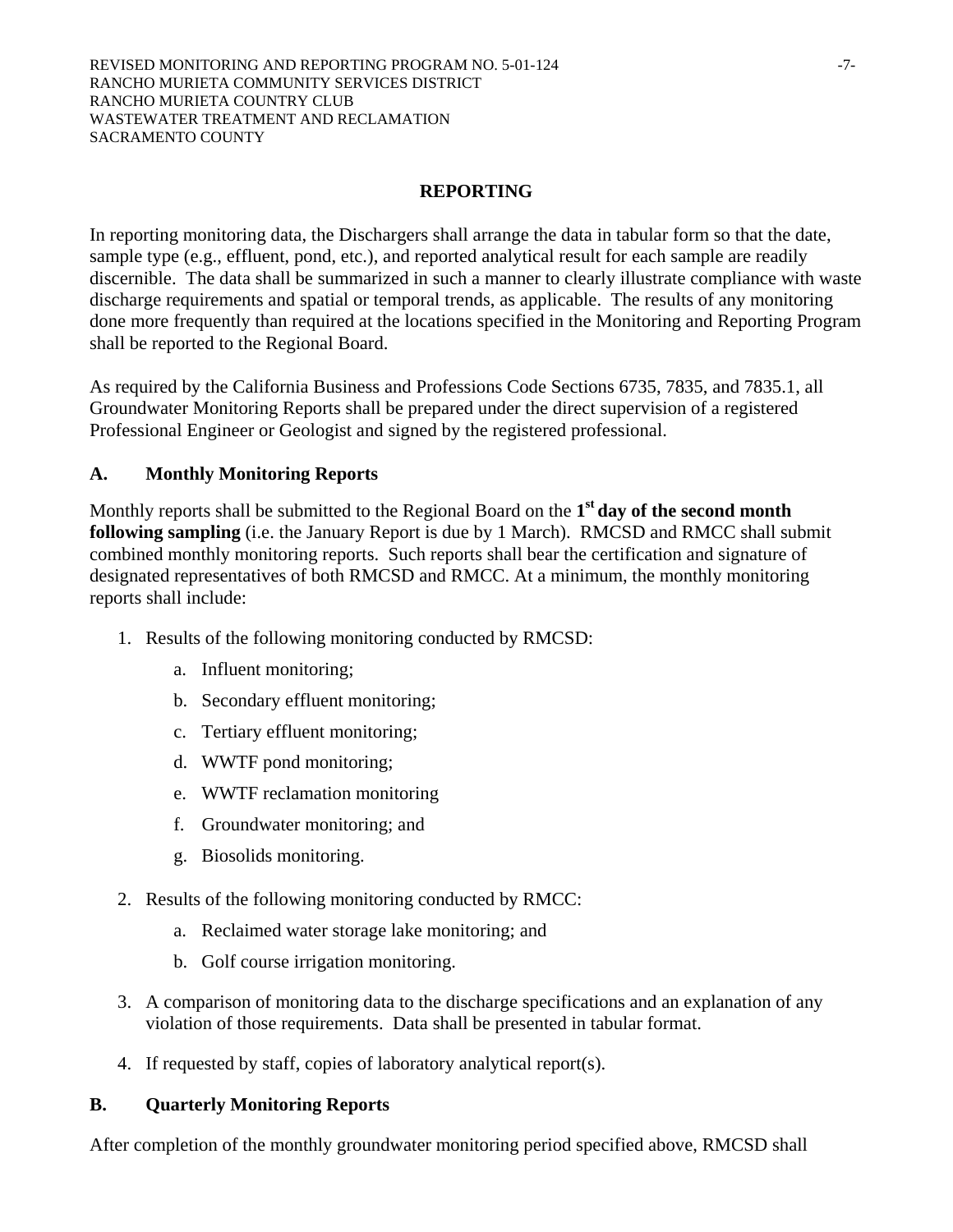## **REPORTING**

In reporting monitoring data, the Dischargers shall arrange the data in tabular form so that the date, sample type (e.g., effluent, pond, etc.), and reported analytical result for each sample are readily discernible. The data shall be summarized in such a manner to clearly illustrate compliance with waste discharge requirements and spatial or temporal trends, as applicable. The results of any monitoring done more frequently than required at the locations specified in the Monitoring and Reporting Program shall be reported to the Regional Board.

As required by the California Business and Professions Code Sections 6735, 7835, and 7835.1, all Groundwater Monitoring Reports shall be prepared under the direct supervision of a registered Professional Engineer or Geologist and signed by the registered professional.

## **A. Monthly Monitoring Reports**

Monthly reports shall be submitted to the Regional Board on the **1st day of the second month following sampling** (i.e. the January Report is due by 1 March). RMCSD and RMCC shall submit combined monthly monitoring reports. Such reports shall bear the certification and signature of designated representatives of both RMCSD and RMCC. At a minimum, the monthly monitoring reports shall include:

- 1. Results of the following monitoring conducted by RMCSD:
	- a. Influent monitoring;
	- b. Secondary effluent monitoring;
	- c. Tertiary effluent monitoring;
	- d. WWTF pond monitoring;
	- e. WWTF reclamation monitoring
	- f. Groundwater monitoring; and
	- g. Biosolids monitoring.
- 2. Results of the following monitoring conducted by RMCC:
	- a. Reclaimed water storage lake monitoring; and
	- b. Golf course irrigation monitoring.
- 3. A comparison of monitoring data to the discharge specifications and an explanation of any violation of those requirements. Data shall be presented in tabular format.
- 4. If requested by staff, copies of laboratory analytical report(s).

## **B. Quarterly Monitoring Reports**

After completion of the monthly groundwater monitoring period specified above, RMCSD shall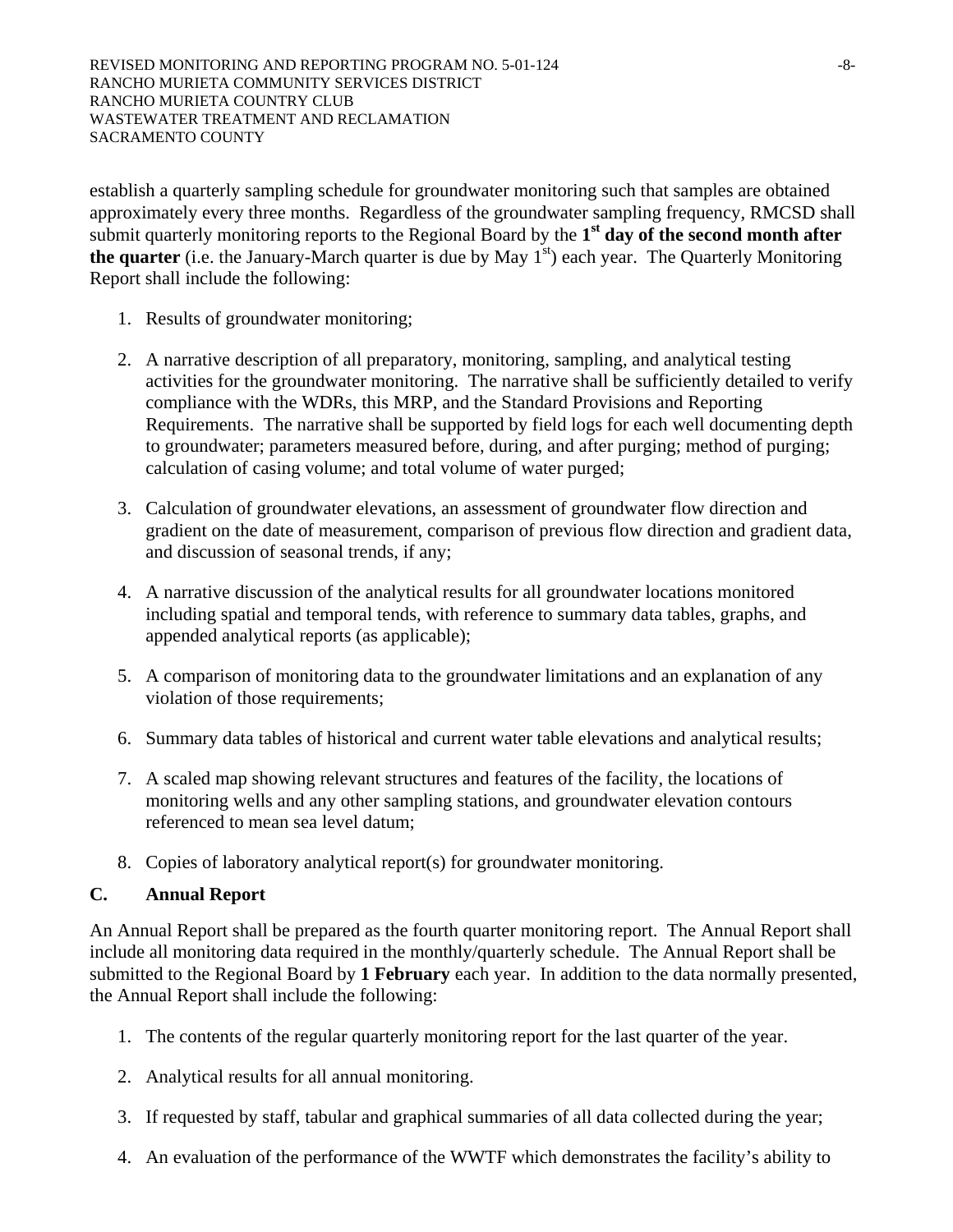establish a quarterly sampling schedule for groundwater monitoring such that samples are obtained approximately every three months. Regardless of the groundwater sampling frequency, RMCSD shall submit quarterly monitoring reports to the Regional Board by the 1<sup>st</sup> day of the second month after **the quarter** (i.e. the January-March quarter is due by May  $1<sup>st</sup>$ ) each year. The Quarterly Monitoring Report shall include the following:

- 1. Results of groundwater monitoring;
- 2. A narrative description of all preparatory, monitoring, sampling, and analytical testing activities for the groundwater monitoring. The narrative shall be sufficiently detailed to verify compliance with the WDRs, this MRP, and the Standard Provisions and Reporting Requirements. The narrative shall be supported by field logs for each well documenting depth to groundwater; parameters measured before, during, and after purging; method of purging; calculation of casing volume; and total volume of water purged;
- 3. Calculation of groundwater elevations, an assessment of groundwater flow direction and gradient on the date of measurement, comparison of previous flow direction and gradient data, and discussion of seasonal trends, if any;
- 4. A narrative discussion of the analytical results for all groundwater locations monitored including spatial and temporal tends, with reference to summary data tables, graphs, and appended analytical reports (as applicable);
- 5. A comparison of monitoring data to the groundwater limitations and an explanation of any violation of those requirements;
- 6. Summary data tables of historical and current water table elevations and analytical results;
- 7. A scaled map showing relevant structures and features of the facility, the locations of monitoring wells and any other sampling stations, and groundwater elevation contours referenced to mean sea level datum;
- 8. Copies of laboratory analytical report(s) for groundwater monitoring.

## **C. Annual Report**

An Annual Report shall be prepared as the fourth quarter monitoring report. The Annual Report shall include all monitoring data required in the monthly/quarterly schedule. The Annual Report shall be submitted to the Regional Board by **1 February** each year. In addition to the data normally presented, the Annual Report shall include the following:

- 1. The contents of the regular quarterly monitoring report for the last quarter of the year.
- 2. Analytical results for all annual monitoring.
- 3. If requested by staff, tabular and graphical summaries of all data collected during the year;
- 4. An evaluation of the performance of the WWTF which demonstrates the facility's ability to